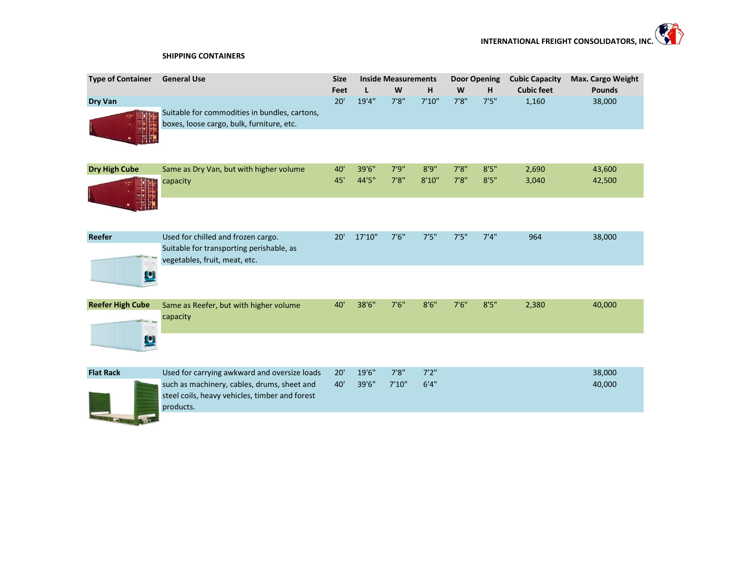## **SHIPPING CONTAINERS**

| <b>Type of Container</b> | <b>General Use</b>                                                                                              | <b>Size</b> | <b>Inside Measurements</b> |        |        | <b>Door Opening</b> |       | <b>Cubic Capacity</b> | Max. Cargo Weight |  |
|--------------------------|-----------------------------------------------------------------------------------------------------------------|-------------|----------------------------|--------|--------|---------------------|-------|-----------------------|-------------------|--|
|                          |                                                                                                                 | Feet        | L                          | W      | н      | W                   | H     | <b>Cubic feet</b>     | <b>Pounds</b>     |  |
| Dry Van                  | Suitable for commodities in bundles, cartons,<br>boxes, loose cargo, bulk, furniture, etc.                      | 20'         | 19'4"                      | 7'8''  | 7'10'' | 7'8''               | 7'5'' | 1,160                 | 38,000            |  |
| <b>Dry High Cube</b>     | Same as Dry Van, but with higher volume                                                                         | 40'         | 39'6"                      | 7'9''  | 8'9''  | 7'8''               | 8'5'' | 2,690                 | 43,600            |  |
|                          | capacity                                                                                                        | 45'         | 44'5"                      | 7'8''  | 8'10'' | 7'8''               | 8'5'' | 3,040                 | 42,500            |  |
|                          |                                                                                                                 |             |                            |        |        |                     |       |                       |                   |  |
| Reefer                   | Used for chilled and frozen cargo.<br>Suitable for transporting perishable, as<br>vegetables, fruit, meat, etc. | 20'         | 17'10"                     | 7'6''  | 7'5''  | 7'5''               | 7'4'' | 964                   | 38,000            |  |
| Ľ                        |                                                                                                                 |             |                            |        |        |                     |       |                       |                   |  |
| <b>Reefer High Cube</b>  | Same as Reefer, but with higher volume<br>capacity                                                              | 40'         | 38'6"                      | 7'6''  | 8'6''  | 7'6''               | 8'5'' | 2,380                 | 40,000            |  |
| Ľ                        |                                                                                                                 |             |                            |        |        |                     |       |                       |                   |  |
| <b>Flat Rack</b>         | Used for carrying awkward and oversize loads                                                                    | 20'         | 19'6"                      | 7'8''  | 7'2''  |                     |       |                       | 38,000            |  |
|                          | such as machinery, cables, drums, sheet and<br>steel coils, heavy vehicles, timber and forest<br>products.      | 40'         | 39'6"                      | 7'10'' | 6'4''  |                     |       |                       | 40,000            |  |
|                          |                                                                                                                 |             |                            |        |        |                     |       |                       |                   |  |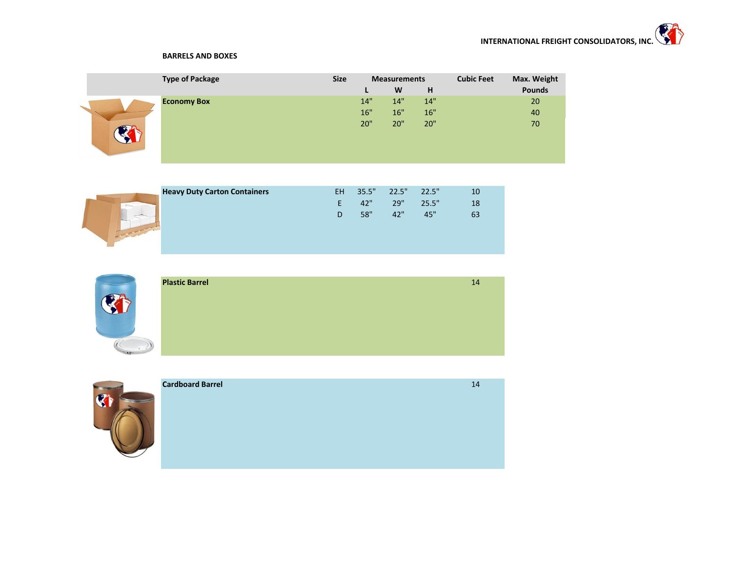## **BARRELS AND BOXES**

| <b>Type of Package</b> | <b>Size</b> | <b>Measurements</b> |     |     | <b>Cubic Feet</b> | Max. Weight   |
|------------------------|-------------|---------------------|-----|-----|-------------------|---------------|
|                        |             | L                   | W   | H   |                   | <b>Pounds</b> |
| <b>Economy Box</b>     |             | 14"                 | 14" | 14" |                   | 20            |
|                        |             | 16"                 | 16" | 16" |                   | 40            |
|                        |             | 20"                 | 20" | 20" |                   | 70            |

| <b>Heavy Duty Carton Containers</b> | <b>EH</b> | 35.5" | 22.5" 22.5" |       | 10 |
|-------------------------------------|-----------|-------|-------------|-------|----|
|                                     | н.        | 42"   | 29"         | 25.5" | 18 |
|                                     | D.        | 58"   | 42"         | 45"   | 63 |



| <b>Plastic Barrel</b> | 14 |
|-----------------------|----|
|                       |    |
|                       |    |
|                       |    |
|                       |    |
|                       |    |



| <b>Cardboard Barrel</b> | 14 |
|-------------------------|----|
|                         |    |
|                         |    |
|                         |    |
|                         |    |
|                         |    |
|                         |    |